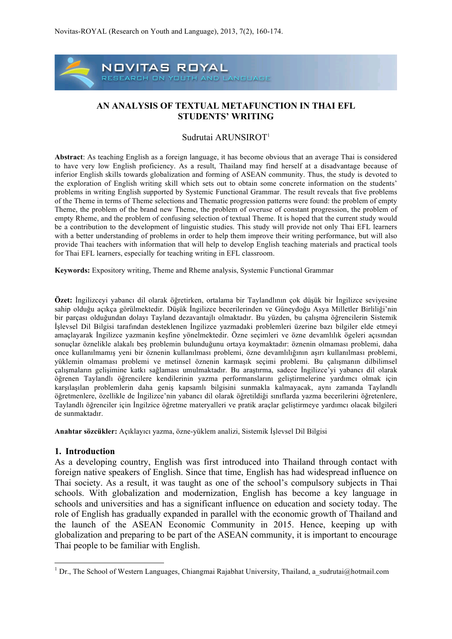

### **AN ANALYSIS OF TEXTUAL METAFUNCTION IN THAI EFL STUDENTS' WRITING**

#### Sudrutai ARUNSIROT<sup>1</sup>

**Abstract**: As teaching English as a foreign language, it has become obvious that an average Thai is considered to have very low English proficiency. As a result, Thailand may find herself at a disadvantage because of inferior English skills towards globalization and forming of ASEAN community. Thus, the study is devoted to the exploration of English writing skill which sets out to obtain some concrete information on the students' problems in writing English supported by Systemic Functional Grammar. The result reveals that five problems of the Theme in terms of Theme selections and Thematic progression patterns were found: the problem of empty Theme, the problem of the brand new Theme, the problem of overuse of constant progression, the problem of empty Rheme, and the problem of confusing selection of textual Theme. It is hoped that the current study would be a contribution to the development of linguistic studies. This study will provide not only Thai EFL learners with a better understanding of problems in order to help them improve their writing performance, but will also provide Thai teachers with information that will help to develop English teaching materials and practical tools for Thai EFL learners, especially for teaching writing in EFL classroom.

**Keywords:** Expository writing, Theme and Rheme analysis, Systemic Functional Grammar

**Özet:** İngilizceyi yabancı dil olarak öğretirken, ortalama bir Taylandlının çok düşük bir İngilizce seviyesine sahip olduğu açıkça görülmektedir. Düşük İngilizce becerilerinden ve Güneydoğu Asya Milletler Birliliği'nin bir parçası olduğundan dolayı Tayland dezavantajlı olmaktadır. Bu yüzden, bu çalışma öğrencilerin Sistemik İşlevsel Dil Bilgisi tarafından desteklenen İngilizce yazmadaki problemleri üzerine bazı bilgiler elde etmeyi amaçlayarak İngilizce yazmanin keşfine yönelmektedir. Özne seçimleri ve özne devamlılık ögeleri açısından sonuçlar öznelikle alakalı beş problemin bulunduğunu ortaya koymaktadır: öznenin olmaması problemi, daha once kullanılmamış yeni bir öznenin kullanılması problemi, özne devamlılığının aşırı kullanılması problemi, yüklemin olmaması problemi ve metinsel öznenin karmaşık seçimi problemi. Bu çalışmanın dilbilimsel çalışmaların gelişimine katkı sağlaması umulmaktadır. Bu araştırma, sadece İngilizce'yi yabancı dil olarak öğrenen Taylandlı öğrencilere kendilerinin yazma performanslarını geliştirmelerine yardımcı olmak için karşılaşılan problemlerin daha geniş kapsamlı bilgisini sunmakla kalmayacak, aynı zamanda Taylandlı öğretmenlere, özellikle de İngilizce'nin yabancı dil olarak öğretildiği sınıflarda yazma becerilerini öğretenlere, Taylandlı öğrenciler için İngilzice öğretme materyalleri ve pratik araçlar geliştirmeye yardımcı olacak bilgileri de sunmaktadır.

**Anahtar sözcükler:** Açıklayıcı yazma, özne-yüklem analizi, Sistemik İşlevsel Dil Bilgisi

#### **1. Introduction**

 

As a developing country, English was first introduced into Thailand through contact with foreign native speakers of English. Since that time, English has had widespread influence on Thai society. As a result, it was taught as one of the school's compulsory subjects in Thai schools. With globalization and modernization, English has become a key language in schools and universities and has a significant influence on education and society today. The role of English has gradually expanded in parallel with the economic growth of Thailand and the launch of the ASEAN Economic Community in 2015. Hence, keeping up with globalization and preparing to be part of the ASEAN community, it is important to encourage Thai people to be familiar with English.

<sup>&</sup>lt;sup>1</sup> Dr., The School of Western Languages, Chiangmai Rajabhat University, Thailand, a\_sudrutai@hotmail.com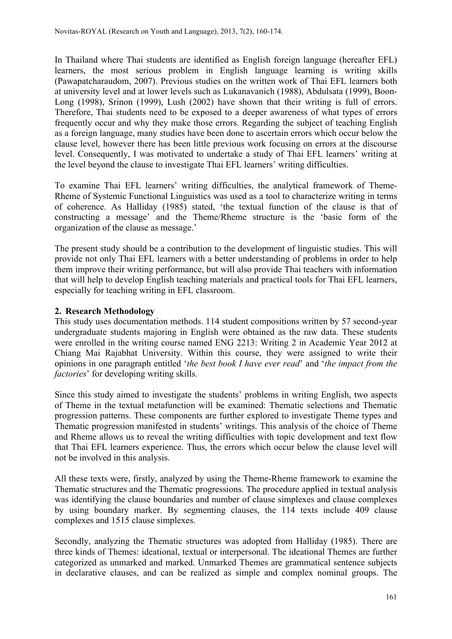In Thailand where Thai students are identified as English foreign language (hereafter EFL) learners, the most serious problem in English language learning is writing skills (Pawapatcharaudom, 2007). Previous studies on the written work of Thai EFL learners both at university level and at lower levels such as Lukanavanich (1988), Abdulsata (1999), Boon-Long (1998), Srinon (1999), Lush (2002) have shown that their writing is full of errors. Therefore, Thai students need to be exposed to a deeper awareness of what types of errors frequently occur and why they make those errors. Regarding the subject of teaching English as a foreign language, many studies have been done to ascertain errors which occur below the clause level, however there has been little previous work focusing on errors at the discourse level. Consequently, I was motivated to undertake a study of Thai EFL learners' writing at the level beyond the clause to investigate Thai EFL learners' writing difficulties.

To examine Thai EFL learners' writing difficulties, the analytical framework of Theme-Rheme of Systemic Functional Linguistics was used as a tool to characterize writing in terms of coherence. As Halliday (1985) stated, 'the textual function of the clause is that of constructing a message' and the Theme/Rheme structure is the 'basic form of the organization of the clause as message.'

The present study should be a contribution to the development of linguistic studies. This will provide not only Thai EFL learners with a better understanding of problems in order to help them improve their writing performance, but will also provide Thai teachers with information that will help to develop English teaching materials and practical tools for Thai EFL learners, especially for teaching writing in EFL classroom.

## **2. Research Methodology**

This study uses documentation methods. 114 student compositions written by 57 second-year undergraduate students majoring in English were obtained as the raw data. These students were enrolled in the writing course named ENG 2213: Writing 2 in Academic Year 2012 at Chiang Mai Rajabhat University. Within this course, they were assigned to write their opinions in one paragraph entitled '*the best book I have ever read*' and '*the impact from the factories*' for developing writing skills.

Since this study aimed to investigate the students' problems in writing English, two aspects of Theme in the textual metafunction will be examined: Thematic selections and Thematic progression patterns. These components are further explored to investigate Theme types and Thematic progression manifested in students' writings. This analysis of the choice of Theme and Rheme allows us to reveal the writing difficulties with topic development and text flow that Thai EFL learners experience. Thus, the errors which occur below the clause level will not be involved in this analysis.

All these texts were, firstly, analyzed by using the Theme-Rheme framework to examine the Thematic structures and the Thematic progressions. The procedure applied in textual analysis was identifying the clause boundaries and number of clause simplexes and clause complexes by using boundary marker. By segmenting clauses, the 114 texts include 409 clause complexes and 1515 clause simplexes.

Secondly, analyzing the Thematic structures was adopted from Halliday (1985). There are three kinds of Themes: ideational, textual or interpersonal. The ideational Themes are further categorized as unmarked and marked. Unmarked Themes are grammatical sentence subjects in declarative clauses, and can be realized as simple and complex nominal groups. The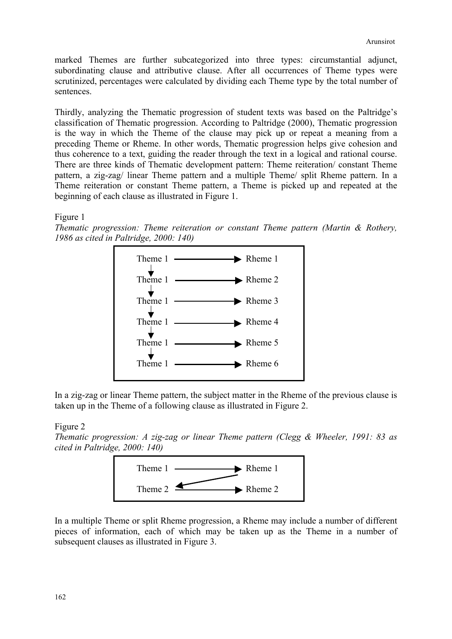marked Themes are further subcategorized into three types: circumstantial adjunct, subordinating clause and attributive clause. After all occurrences of Theme types were scrutinized, percentages were calculated by dividing each Theme type by the total number of sentences.

Thirdly, analyzing the Thematic progression of student texts was based on the Paltridge's classification of Thematic progression. According to Paltridge (2000), Thematic progression is the way in which the Theme of the clause may pick up or repeat a meaning from a preceding Theme or Rheme. In other words, Thematic progression helps give cohesion and thus coherence to a text, guiding the reader through the text in a logical and rational course. There are three kinds of Thematic development pattern: Theme reiteration/ constant Theme pattern, a zig-zag/ linear Theme pattern and a multiple Theme/ split Rheme pattern. In a Theme reiteration or constant Theme pattern, a Theme is picked up and repeated at the beginning of each clause as illustrated in Figure 1.

Figure 1

*Thematic progression: Theme reiteration or constant Theme pattern (Martin & Rothery, 1986 as cited in Paltridge, 2000: 140)*



In a zig-zag or linear Theme pattern, the subject matter in the Rheme of the previous clause is taken up in the Theme of a following clause as illustrated in Figure 2.

### Figure 2

*Thematic progression: A zig-zag or linear Theme pattern (Clegg & Wheeler, 1991: 83 as cited in Paltridge, 2000: 140)*



In a multiple Theme or split Rheme progression, a Rheme may include a number of different pieces of information, each of which may be taken up as the Theme in a number of subsequent clauses as illustrated in Figure 3.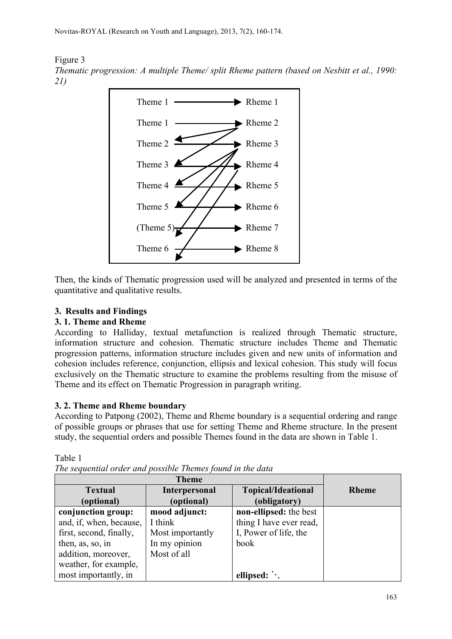Figure 3 *Thematic progression: A multiple Theme/ split Rheme pattern (based on Nesbitt et al., 1990: 21)*



Then, the kinds of Thematic progression used will be analyzed and presented in terms of the quantitative and qualitative results.

# **3. Results and Findings**

# **3. 1. Theme and Rheme**

Table 1

According to Halliday, textual metafunction is realized through Thematic structure, information structure and cohesion. Thematic structure includes Theme and Thematic progression patterns, information structure includes given and new units of information and cohesion includes reference, conjunction, ellipsis and lexical cohesion. This study will focus exclusively on the Thematic structure to examine the problems resulting from the misuse of Theme and its effect on Thematic Progression in paragraph writing.

# **3. 2. Theme and Rheme boundary**

According to Patpong (2002), Theme and Rheme boundary is a sequential ordering and range of possible groups or phrases that use for setting Theme and Rheme structure. In the present study, the sequential orders and possible Themes found in the data are shown in Table 1.

| <b>Textual</b>          | <b>Interpersonal</b> | <b>Topical/Ideational</b> | <b>Rheme</b> |
|-------------------------|----------------------|---------------------------|--------------|
| (optional)              | (optional)           | (obligatory)              |              |
| conjunction group:      | mood adjunct:        | non-ellipsed: the best    |              |
| and, if, when, because, | I think              | thing I have ever read,   |              |
| first, second, finally, | Most importantly     | I, Power of life, the     |              |
| then, as, so, in        | In my opinion        | book                      |              |
| addition, moreover,     | Most of all          |                           |              |
| weather, for example,   |                      |                           |              |
| most importantly, in    |                      | ellipsed:                 |              |

*The sequential order and possible Themes found in the data*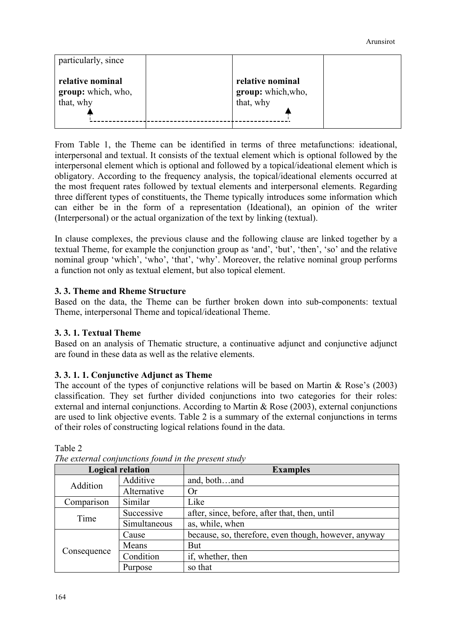| particularly, since                                 |                                                     |  |
|-----------------------------------------------------|-----------------------------------------------------|--|
| relative nominal<br>group: which, who,<br>that, why | relative nominal<br>group: which, who,<br>that, why |  |

From Table 1, the Theme can be identified in terms of three metafunctions: ideational, interpersonal and textual. It consists of the textual element which is optional followed by the interpersonal element which is optional and followed by a topical/ideational element which is obligatory. According to the frequency analysis, the topical/ideational elements occurred at the most frequent rates followed by textual elements and interpersonal elements. Regarding three different types of constituents, the Theme typically introduces some information which can either be in the form of a representation (Ideational), an opinion of the writer (Interpersonal) or the actual organization of the text by linking (textual).

In clause complexes, the previous clause and the following clause are linked together by a textual Theme, for example the conjunction group as 'and', 'but', 'then', 'so' and the relative nominal group 'which', 'who', 'that', 'why'. Moreover, the relative nominal group performs a function not only as textual element, but also topical element.

# **3. 3. Theme and Rheme Structure**

Based on the data, the Theme can be further broken down into sub-components: textual Theme, interpersonal Theme and topical/ideational Theme.

## **3. 3. 1. Textual Theme**

Based on an analysis of Thematic structure, a continuative adjunct and conjunctive adjunct are found in these data as well as the relative elements.

## **3. 3. 1. 1. Conjunctive Adjunct as Theme**

The account of the types of conjunctive relations will be based on Martin  $\&$  Rose's (2003) classification. They set further divided conjunctions into two categories for their roles: external and internal conjunctions. According to Martin & Rose (2003), external conjunctions are used to link objective events. Table 2 is a summary of the external conjunctions in terms of their roles of constructing logical relations found in the data.

|             | <b>Logical relation</b> | <b>Examples</b>                                      |  |
|-------------|-------------------------|------------------------------------------------------|--|
| Addition    | Additive                | and, bothand                                         |  |
|             | Alternative             | <b>Or</b>                                            |  |
| Comparison  | Like<br>Similar         |                                                      |  |
| Time        | Successive              | after, since, before, after that, then, until        |  |
|             | Simultaneous            | as, while, when                                      |  |
| Cause       |                         | because, so, therefore, even though, however, anyway |  |
|             | Means                   | <b>But</b>                                           |  |
| Consequence | Condition               | if, whether, then                                    |  |
|             | Purpose                 | so that                                              |  |

*The external conjunctions found in the present study*

Table 2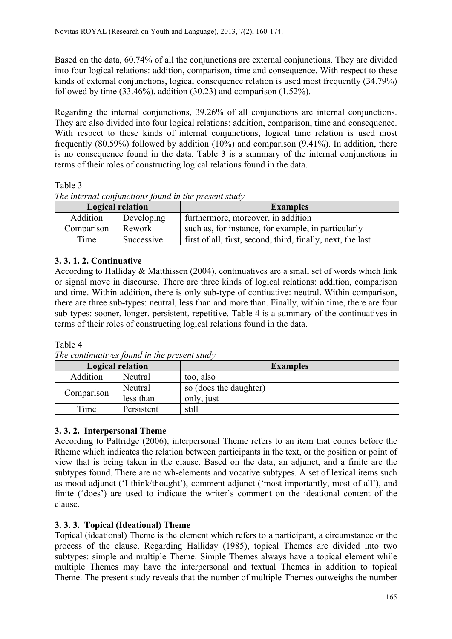Based on the data, 60.74% of all the conjunctions are external conjunctions. They are divided into four logical relations: addition, comparison, time and consequence. With respect to these kinds of external conjunctions, logical consequence relation is used most frequently (34.79%) followed by time  $(33.46\%)$ , addition  $(30.23)$  and comparison  $(1.52\%)$ .

Regarding the internal conjunctions, 39.26% of all conjunctions are internal conjunctions. They are also divided into four logical relations: addition, comparison, time and consequence. With respect to these kinds of internal conjunctions, logical time relation is used most frequently (80.59%) followed by addition (10%) and comparison (9.41%). In addition, there is no consequence found in the data. Table 3 is a summary of the internal conjunctions in terms of their roles of constructing logical relations found in the data.

Table 3

|  |  | The internal conjunctions found in the present study |
|--|--|------------------------------------------------------|
|  |  |                                                      |

| Logical relation |            | <b>Examples</b>                                             |
|------------------|------------|-------------------------------------------------------------|
| Addition         | Developing | furthermore, moreover, in addition                          |
| Comparison       | Rework     | such as, for instance, for example, in particularly         |
| Time             | Successive | first of all, first, second, third, finally, next, the last |

# **3. 3. 1. 2. Continuative**

According to Halliday & Matthissen (2004), continuatives are a small set of words which link or signal move in discourse. There are three kinds of logical relations: addition, comparison and time. Within addition, there is only sub-type of contiuative: neutral. Within comparison, there are three sub-types: neutral, less than and more than. Finally, within time, there are four sub-types: sooner, longer, persistent, repetitive. Table 4 is a summary of the continuatives in terms of their roles of constructing logical relations found in the data.

## Table 4

| The communities found in the present station |            |                        |  |  |  |
|----------------------------------------------|------------|------------------------|--|--|--|
| Logical relation                             |            | <b>Examples</b>        |  |  |  |
| Addition                                     | Neutral    | too, also              |  |  |  |
|                                              | Neutral    | so (does the daughter) |  |  |  |
| Comparison                                   | less than  | only, just             |  |  |  |
| Time                                         | Persistent | still                  |  |  |  |

*The continuatives found in the present study*

# **3. 3. 2. Interpersonal Theme**

According to Paltridge (2006), interpersonal Theme refers to an item that comes before the Rheme which indicates the relation between participants in the text, or the position or point of view that is being taken in the clause. Based on the data, an adjunct, and a finite are the subtypes found. There are no wh-elements and vocative subtypes. A set of lexical items such as mood adjunct ('I think/thought'), comment adjunct ('most importantly, most of all'), and finite ('does') are used to indicate the writer's comment on the ideational content of the clause.

# **3. 3. 3. Topical (Ideational) Theme**

Topical (ideational) Theme is the element which refers to a participant, a circumstance or the process of the clause. Regarding Halliday (1985), topical Themes are divided into two subtypes: simple and multiple Theme. Simple Themes always have a topical element while multiple Themes may have the interpersonal and textual Themes in addition to topical Theme. The present study reveals that the number of multiple Themes outweighs the number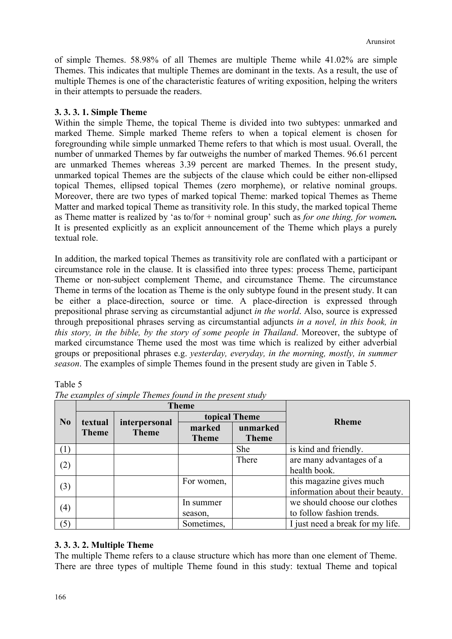of simple Themes. 58.98% of all Themes are multiple Theme while 41.02% are simple Themes. This indicates that multiple Themes are dominant in the texts. As a result, the use of multiple Themes is one of the characteristic features of writing exposition, helping the writers in their attempts to persuade the readers.

### **3. 3. 3. 1. Simple Theme**

Within the simple Theme, the topical Theme is divided into two subtypes: unmarked and marked Theme. Simple marked Theme refers to when a topical element is chosen for foregrounding while simple unmarked Theme refers to that which is most usual. Overall, the number of unmarked Themes by far outweighs the number of marked Themes. 96.61 percent are unmarked Themes whereas 3.39 percent are marked Themes. In the present study, unmarked topical Themes are the subjects of the clause which could be either non-ellipsed topical Themes, ellipsed topical Themes (zero morpheme), or relative nominal groups. Moreover, there are two types of marked topical Theme: marked topical Themes as Theme Matter and marked topical Theme as transitivity role. In this study, the marked topical Theme as Theme matter is realized by 'as to/for + nominal group' such as *for one thing, for women.*  It is presented explicitly as an explicit announcement of the Theme which plays a purely textual role.

In addition, the marked topical Themes as transitivity role are conflated with a participant or circumstance role in the clause. It is classified into three types: process Theme, participant Theme or non-subject complement Theme, and circumstance Theme. The circumstance Theme in terms of the location as Theme is the only subtype found in the present study. It can be either a place-direction, source or time. A place-direction is expressed through prepositional phrase serving as circumstantial adjunct *in the world*. Also, source is expressed through prepositional phrases serving as circumstantial adjuncts *in a novel, in this book, in this story, in the bible, by the story of some people in Thailand*. Moreover, the subtype of marked circumstance Theme used the most was time which is realized by either adverbial groups or prepositional phrases e.g. *yesterday, everyday, in the morning, mostly, in summer season*. The examples of simple Themes found in the present study are given in Table 5.

Table 5

|                  |                         | <b>Theme</b>                  |                        |                          |                                                             |
|------------------|-------------------------|-------------------------------|------------------------|--------------------------|-------------------------------------------------------------|
| No               | textual<br><b>Theme</b> | interpersonal<br><b>Theme</b> |                        | topical Theme            | <b>Rheme</b>                                                |
|                  |                         |                               | marked<br><b>Theme</b> | unmarked<br><b>Theme</b> |                                                             |
| $\left(1\right)$ |                         |                               |                        | She                      | is kind and friendly.                                       |
| (2)              |                         |                               |                        | There                    | are many advantages of a<br>health book.                    |
| (3)              |                         |                               | For women,             |                          | this magazine gives much<br>information about their beauty. |
| $\left(4\right)$ |                         |                               | In summer<br>season,   |                          | we should choose our clothes<br>to follow fashion trends.   |
| (5)              |                         |                               | Sometimes,             |                          | I just need a break for my life.                            |

*The examples of simple Themes found in the present study*

## **3. 3. 3. 2. Multiple Theme**

The multiple Theme refers to a clause structure which has more than one element of Theme. There are three types of multiple Theme found in this study: textual Theme and topical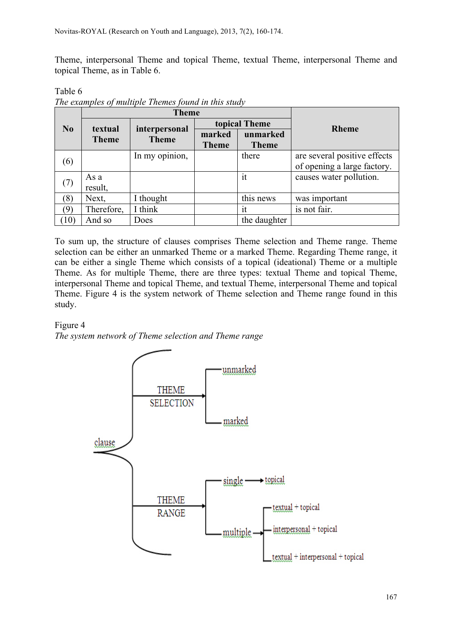Theme, interpersonal Theme and topical Theme, textual Theme, interpersonal Theme and topical Theme, as in Table 6.

**No Theme interpersonal interpersonal interpersonal interpersonal Theme Theme topical Theme marked Theme unmarked Theme**  $(6)$  In my opinion, there are several positive effects of opening a large factory.  $(7)$  As a result, it causes water pollution.  $(8)$  Next, I thought this news was important (9) Therefore, I think  $\vert$  it is not fair.  $(10)$  And so  $\big|$  Does  $\big|$  the daughter

|                | The examples of multiple Themes found in this study |
|----------------|-----------------------------------------------------|
| <b>Table 0</b> |                                                     |

To sum up, the structure of clauses comprises Theme selection and Theme range. Theme selection can be either an unmarked Theme or a marked Theme. Regarding Theme range, it can be either a single Theme which consists of a topical (ideational) Theme or a multiple Theme. As for multiple Theme, there are three types: textual Theme and topical Theme, interpersonal Theme and topical Theme, and textual Theme, interpersonal Theme and topical Theme. Figure 4 is the system network of Theme selection and Theme range found in this study.

## Figure 4

Table 6

*The system network of Theme selection and Theme range*

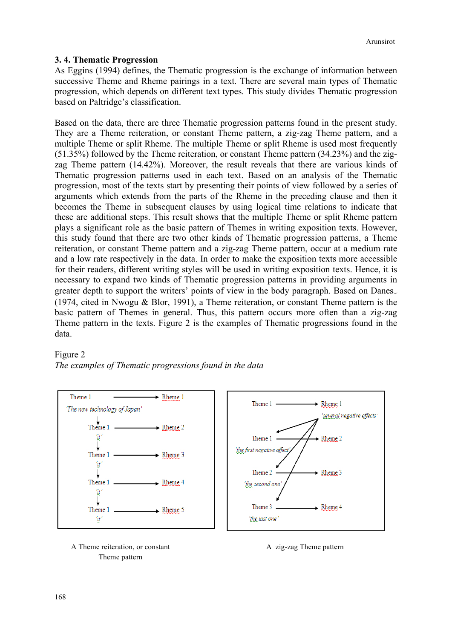### **3. 4. Thematic Progression**

As Eggins (1994) defines, the Thematic progression is the exchange of information between successive Theme and Rheme pairings in a text. There are several main types of Thematic progression, which depends on different text types. This study divides Thematic progression based on Paltridge's classification.

Based on the data, there are three Thematic progression patterns found in the present study. They are a Theme reiteration, or constant Theme pattern, a zig-zag Theme pattern, and a multiple Theme or split Rheme. The multiple Theme or split Rheme is used most frequently (51.35%) followed by the Theme reiteration, or constant Theme pattern (34.23%) and the zigzag Theme pattern (14.42%). Moreover, the result reveals that there are various kinds of Thematic progression patterns used in each text. Based on an analysis of the Thematic progression, most of the texts start by presenting their points of view followed by a series of arguments which extends from the parts of the Rheme in the preceding clause and then it becomes the Theme in subsequent clauses by using logical time relations to indicate that these are additional steps. This result shows that the multiple Theme or split Rheme pattern plays a significant role as the basic pattern of Themes in writing exposition texts. However, this study found that there are two other kinds of Thematic progression patterns, a Theme reiteration, or constant Theme pattern and a zig-zag Theme pattern, occur at a medium rate and a low rate respectively in the data. In order to make the exposition texts more accessible for their readers, different writing styles will be used in writing exposition texts. Hence, it is necessary to expand two kinds of Thematic progression patterns in providing arguments in greater depth to support the writers' points of view in the body paragraph. Based on Danes (1974, cited in Nwogu & Blor, 1991), a Theme reiteration, or constant Theme pattern is the basic pattern of Themes in general. Thus, this pattern occurs more often than a zig-zag Theme pattern in the texts. Figure 2 is the examples of Thematic progressions found in the data.







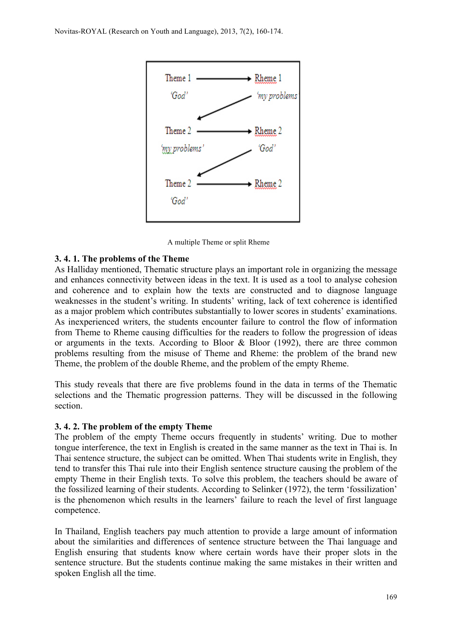

A multiple Theme or split Rheme

## **3. 4. 1. The problems of the Theme**

As Halliday mentioned, Thematic structure plays an important role in organizing the message and enhances connectivity between ideas in the text. It is used as a tool to analyse cohesion and coherence and to explain how the texts are constructed and to diagnose language weaknesses in the student's writing. In students' writing, lack of text coherence is identified as a major problem which contributes substantially to lower scores in students' examinations. As inexperienced writers, the students encounter failure to control the flow of information from Theme to Rheme causing difficulties for the readers to follow the progression of ideas or arguments in the texts. According to Bloor  $\&$  Bloor (1992), there are three common problems resulting from the misuse of Theme and Rheme: the problem of the brand new Theme, the problem of the double Rheme, and the problem of the empty Rheme.

This study reveals that there are five problems found in the data in terms of the Thematic selections and the Thematic progression patterns. They will be discussed in the following section.

#### **3. 4. 2. The problem of the empty Theme**

The problem of the empty Theme occurs frequently in students' writing. Due to mother tongue interference, the text in English is created in the same manner as the text in Thai is. In Thai sentence structure, the subject can be omitted. When Thai students write in English, they tend to transfer this Thai rule into their English sentence structure causing the problem of the empty Theme in their English texts. To solve this problem, the teachers should be aware of the fossilized learning of their students. According to Selinker (1972), the term 'fossilization' is the phenomenon which results in the learners' failure to reach the level of first language competence.

In Thailand, English teachers pay much attention to provide a large amount of information about the similarities and differences of sentence structure between the Thai language and English ensuring that students know where certain words have their proper slots in the sentence structure. But the students continue making the same mistakes in their written and spoken English all the time.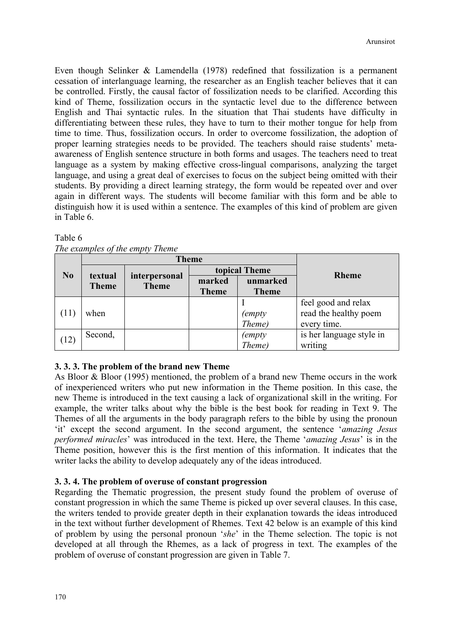Even though Selinker & Lamendella (1978) redefined that fossilization is a permanent cessation of interlanguage learning, the researcher as an English teacher believes that it can be controlled. Firstly, the causal factor of fossilization needs to be clarified. According this kind of Theme, fossilization occurs in the syntactic level due to the difference between English and Thai syntactic rules. In the situation that Thai students have difficulty in differentiating between these rules, they have to turn to their mother tongue for help from time to time. Thus, fossilization occurs. In order to overcome fossilization, the adoption of proper learning strategies needs to be provided. The teachers should raise students' metaawareness of English sentence structure in both forms and usages. The teachers need to treat language as a system by making effective cross-lingual comparisons, analyzing the target language, and using a great deal of exercises to focus on the subject being omitted with their students. By providing a direct learning strategy, the form would be repeated over and over again in different ways. The students will become familiar with this form and be able to distinguish how it is used within a sentence. The examples of this kind of problem are given in Table 6.

|                | <b>Theme</b>            |                               |               |              |                          |
|----------------|-------------------------|-------------------------------|---------------|--------------|--------------------------|
| N <sub>0</sub> |                         |                               | topical Theme |              | <b>Rheme</b>             |
|                | textual<br><b>Theme</b> | interpersonal<br><b>Theme</b> | marked        | unmarked     |                          |
|                |                         |                               | <b>Theme</b>  | <b>Theme</b> |                          |
|                |                         |                               |               |              | feel good and relax      |
| (11)           | when                    |                               |               | (empty       | read the healthy poem    |
|                |                         |                               |               | Theme)       | every time.              |
|                | Second,                 |                               |               | (empty       | is her language style in |
| (12)           |                         |                               |               | Theme)       | writing                  |

### Table 6

| The examples of the empty Theme |  |  |      |
|---------------------------------|--|--|------|
|                                 |  |  | Tham |

## **3. 3. 3. The problem of the brand new Theme**

As Bloor & Bloor (1995) mentioned, the problem of a brand new Theme occurs in the work of inexperienced writers who put new information in the Theme position. In this case, the new Theme is introduced in the text causing a lack of organizational skill in the writing. For example, the writer talks about why the bible is the best book for reading in Text 9. The Themes of all the arguments in the body paragraph refers to the bible by using the pronoun 'it' except the second argument. In the second argument, the sentence '*amazing Jesus performed miracles*' was introduced in the text. Here, the Theme '*amazing Jesus*' is in the Theme position, however this is the first mention of this information. It indicates that the writer lacks the ability to develop adequately any of the ideas introduced.

## **3. 3. 4. The problem of overuse of constant progression**

Regarding the Thematic progression, the present study found the problem of overuse of constant progression in which the same Theme is picked up over several clauses. In this case, the writers tended to provide greater depth in their explanation towards the ideas introduced in the text without further development of Rhemes. Text 42 below is an example of this kind of problem by using the personal pronoun '*she*' in the Theme selection. The topic is not developed at all through the Rhemes, as a lack of progress in text. The examples of the problem of overuse of constant progression are given in Table 7.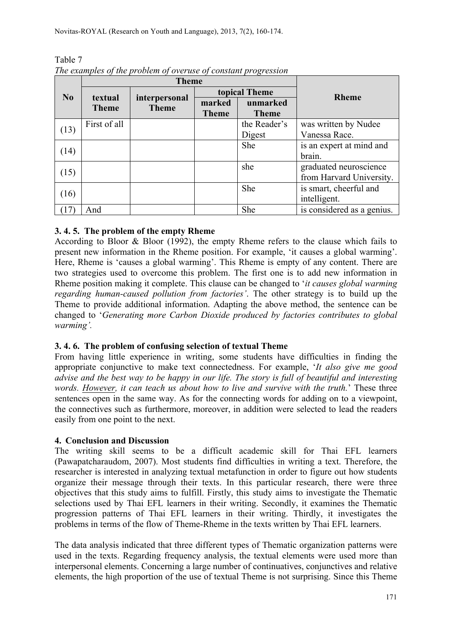|      |              | <b>Theme</b>                  |               |              |                            |
|------|--------------|-------------------------------|---------------|--------------|----------------------------|
| No   | textual      |                               | topical Theme |              | <b>Rheme</b>               |
|      | <b>Theme</b> | interpersonal<br><b>Theme</b> | marked        | unmarked     |                            |
|      |              |                               | <b>Theme</b>  | <b>Theme</b> |                            |
| (13) | First of all |                               |               | the Reader's | was written by Nudee       |
|      |              |                               |               | Digest       | Vanessa Race.              |
| (14) |              |                               |               | She          | is an expert at mind and   |
|      |              |                               |               |              | brain.                     |
|      |              |                               |               | she          | graduated neuroscience     |
| (15) |              |                               |               |              | from Harvard University.   |
|      |              |                               |               | She          | is smart, cheerful and     |
| (16) |              |                               |               |              | intelligent.               |
|      | And          |                               |               | She          | is considered as a genius. |

Table 7 *The examples of the problem of overuse of constant progression*

## **3. 4. 5. The problem of the empty Rheme**

According to Bloor & Bloor (1992), the empty Rheme refers to the clause which fails to present new information in the Rheme position. For example, 'it causes a global warming'. Here, Rheme is 'causes a global warming'. This Rheme is empty of any content. There are two strategies used to overcome this problem. The first one is to add new information in Rheme position making it complete. This clause can be changed to '*it causes global warming regarding human-caused pollution from factories'*. The other strategy is to build up the Theme to provide additional information. Adapting the above method, the sentence can be changed to '*Generating more Carbon Dioxide produced by factories contributes to global warming'.*

## **3. 4. 6. The problem of confusing selection of textual Theme**

From having little experience in writing, some students have difficulties in finding the appropriate conjunctive to make text connectedness. For example, '*It also give me good advise and the best way to be happy in our life. The story is full of beautiful and interesting words. However, it can teach us about how to live and survive with the truth.*' These three sentences open in the same way. As for the connecting words for adding on to a viewpoint, the connectives such as furthermore, moreover, in addition were selected to lead the readers easily from one point to the next.

## **4. Conclusion and Discussion**

The writing skill seems to be a difficult academic skill for Thai EFL learners (Pawapatcharaudom, 2007). Most students find difficulties in writing a text. Therefore, the researcher is interested in analyzing textual metafunction in order to figure out how students organize their message through their texts. In this particular research, there were three objectives that this study aims to fulfill. Firstly, this study aims to investigate the Thematic selections used by Thai EFL learners in their writing. Secondly, it examines the Thematic progression patterns of Thai EFL learners in their writing. Thirdly, it investigates the problems in terms of the flow of Theme-Rheme in the texts written by Thai EFL learners.

The data analysis indicated that three different types of Thematic organization patterns were used in the texts. Regarding frequency analysis, the textual elements were used more than interpersonal elements. Concerning a large number of continuatives, conjunctives and relative elements, the high proportion of the use of textual Theme is not surprising. Since this Theme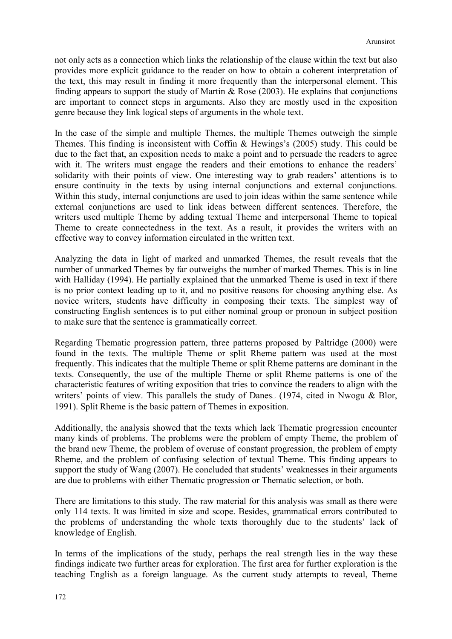not only acts as a connection which links the relationship of the clause within the text but also provides more explicit guidance to the reader on how to obtain a coherent interpretation of the text, this may result in finding it more frequently than the interpersonal element. This finding appears to support the study of Martin  $\&$  Rose (2003). He explains that conjunctions are important to connect steps in arguments. Also they are mostly used in the exposition genre because they link logical steps of arguments in the whole text.

In the case of the simple and multiple Themes, the multiple Themes outweigh the simple Themes. This finding is inconsistent with Coffin & Hewings's (2005) study. This could be due to the fact that, an exposition needs to make a point and to persuade the readers to agree with it. The writers must engage the readers and their emotions to enhance the readers' solidarity with their points of view. One interesting way to grab readers' attentions is to ensure continuity in the texts by using internal conjunctions and external conjunctions. Within this study, internal conjunctions are used to join ideas within the same sentence while external conjunctions are used to link ideas between different sentences. Therefore, the writers used multiple Theme by adding textual Theme and interpersonal Theme to topical Theme to create connectedness in the text. As a result, it provides the writers with an effective way to convey information circulated in the written text.

Analyzing the data in light of marked and unmarked Themes, the result reveals that the number of unmarked Themes by far outweighs the number of marked Themes. This is in line with Halliday (1994). He partially explained that the unmarked Theme is used in text if there is no prior context leading up to it, and no positive reasons for choosing anything else. As novice writers, students have difficulty in composing their texts. The simplest way of constructing English sentences is to put either nominal group or pronoun in subject position to make sure that the sentence is grammatically correct.

Regarding Thematic progression pattern, three patterns proposed by Paltridge (2000) were found in the texts. The multiple Theme or split Rheme pattern was used at the most frequently. This indicates that the multiple Theme or split Rheme patterns are dominant in the texts. Consequently, the use of the multiple Theme or split Rheme patterns is one of the characteristic features of writing exposition that tries to convince the readers to align with the writers' points of view. This parallels the study of Danes  $(1974, \text{ cited in Nwogu & Blor,})$ 1991). Split Rheme is the basic pattern of Themes in exposition.

Additionally, the analysis showed that the texts which lack Thematic progression encounter many kinds of problems. The problems were the problem of empty Theme, the problem of the brand new Theme, the problem of overuse of constant progression, the problem of empty Rheme, and the problem of confusing selection of textual Theme. This finding appears to support the study of Wang (2007). He concluded that students' weaknesses in their arguments are due to problems with either Thematic progression or Thematic selection, or both.

There are limitations to this study. The raw material for this analysis was small as there were only 114 texts. It was limited in size and scope. Besides, grammatical errors contributed to the problems of understanding the whole texts thoroughly due to the students' lack of knowledge of English.

In terms of the implications of the study, perhaps the real strength lies in the way these findings indicate two further areas for exploration. The first area for further exploration is the teaching English as a foreign language. As the current study attempts to reveal, Theme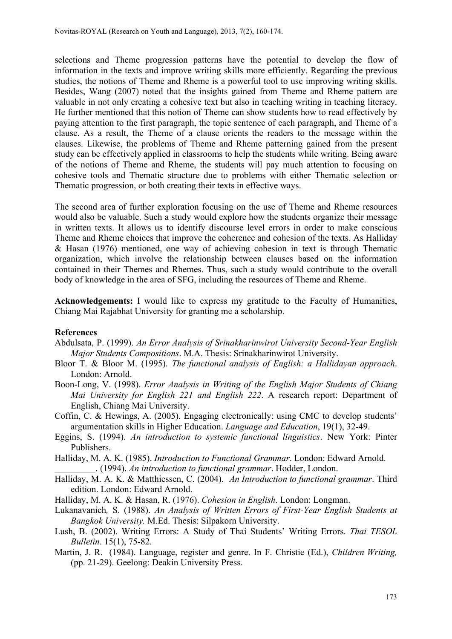selections and Theme progression patterns have the potential to develop the flow of information in the texts and improve writing skills more efficiently. Regarding the previous studies, the notions of Theme and Rheme is a powerful tool to use improving writing skills. Besides, Wang (2007) noted that the insights gained from Theme and Rheme pattern are valuable in not only creating a cohesive text but also in teaching writing in teaching literacy. He further mentioned that this notion of Theme can show students how to read effectively by paying attention to the first paragraph, the topic sentence of each paragraph, and Theme of a clause. As a result, the Theme of a clause orients the readers to the message within the clauses. Likewise, the problems of Theme and Rheme patterning gained from the present study can be effectively applied in classrooms to help the students while writing. Being aware of the notions of Theme and Rheme, the students will pay much attention to focusing on cohesive tools and Thematic structure due to problems with either Thematic selection or Thematic progression, or both creating their texts in effective ways.

The second area of further exploration focusing on the use of Theme and Rheme resources would also be valuable. Such a study would explore how the students organize their message in written texts. It allows us to identify discourse level errors in order to make conscious Theme and Rheme choices that improve the coherence and cohesion of the texts. As Halliday & Hasan (1976) mentioned, one way of achieving cohesion in text is through Thematic organization, which involve the relationship between clauses based on the information contained in their Themes and Rhemes. Thus, such a study would contribute to the overall body of knowledge in the area of SFG, including the resources of Theme and Rheme.

**Acknowledgements:** I would like to express my gratitude to the Faculty of Humanities, Chiang Mai Rajabhat University for granting me a scholarship.

#### **References**

- Abdulsata, P. (1999). *An Error Analysis of Srinakharinwirot University Second-Year English Major Students Compositions*. M.A. Thesis: Srinakharinwirot University.
- Bloor T. & Bloor M. (1995). *The functional analysis of English: a Hallidayan approach*. London: Arnold.
- Boon-Long, V. (1998). *Error Analysis in Writing of the English Major Students of Chiang Mai University for English 221 and English 222*. A research report: Department of English, Chiang Mai University.
- Coffin, C. & Hewings, A. (2005). Engaging electronically: using CMC to develop students' argumentation skills in Higher Education. *Language and Education*, 19(1), 32-49.
- Eggins, S. (1994). *An introduction to systemic functional linguistics*. New York: Pinter Publishers.
- Halliday, M. A. K. (1985). *Introduction to Functional Grammar*. London: Edward Arnold. \_\_\_\_\_\_\_\_\_. (1994). *An introduction to functional grammar*. Hodder, London.
- Halliday, M. A. K. & Matthiessen, C. (2004). *An Introduction to functional grammar*. Third edition. London: Edward Arnold.
- Halliday, M. A. K. & Hasan, R. (1976). *Cohesion in English*. London: Longman.
- Lukanavanich*,* S. (1988). *An Analysis of Written Errors of First-Year English Students at Bangkok University.* M.Ed. Thesis: Silpakorn University.
- Lush, B. (2002). Writing Errors: A Study of Thai Students' Writing Errors. *Thai TESOL Bulletin*. 15(1), 75-82.
- Martin, J. R. (1984). Language, register and genre. In F. Christie (Ed.), *Children Writing,* (pp. 21-29). Geelong: Deakin University Press.